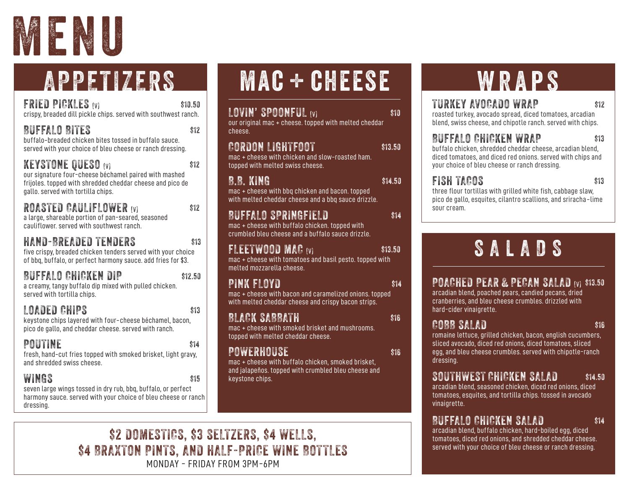

# APPETIZERS

FRIED PICKLES (V) \$10.50 crispy, breaded dill pickle chips. served with southwest ranch.

BUFFALO BITES S12 buffalo-breaded chicken bites tossed in buffalo sauce.

served with your choice of bleu cheese or ranch dressing.

KEYSTONE QUESO (V) \$12 our signature four-cheese béchamel paired with mashed frijoles. topped with shredded cheddar cheese and pico de gallo. served with tortilla chips.

### ROASTED CAULIFLOWER (V) \$12

a large, shareable portion of pan-seared, seasoned cauliflower. served with southwest ranch.

### HAND-BREADED TENDERS \$13

five crispy, breaded chicken tenders served with your choice of bbq, buffalo, or perfect harmony sauce. add fries for \$3.

BUFFALO CHICKEN DIP \$12.50 a creamy, tangy buffalo dip mixed with pulled chicken. served with tortilla chips.

#### LOADED CHIPS \$13 keystone chips layered with four-cheese béchamel, bacon, pico de gallo, and cheddar cheese. served with ranch.

| POUTINE                                                                                      | \$14 |
|----------------------------------------------------------------------------------------------|------|
| fresh, hand-cut fries topped with smoked brisket, light gravy,<br>and shredded swiss cheese. |      |

#### $WINGS$   $S15$

seven large wings tossed in dry rub, bbq, buffalo, or perfect harmony sauce. served with your choice of bleu cheese or ranch dressing.

# **MAC + CHEESE**

| LOVIN' SPOONFUL (v)<br>our original mac + cheese. topped with melted cheddar<br>cheese.                                              | \$10    |
|--------------------------------------------------------------------------------------------------------------------------------------|---------|
| CORDON LIGHTFOOT<br>mac + cheese with chicken and slow-roasted ham.<br>topped with melted swiss cheese.                              | \$13.50 |
| B.B. KING<br>mac + cheese with bbq chicken and bacon. topped<br>with melted cheddar cheese and a bbq sauce drizzle.                  | \$14.50 |
| BUFFALO SPRINGFIELD<br>mac + cheese with buffalo chicken. topped with<br>crumbled bleu cheese and a buffalo sauce drizzle.           | \$14    |
| <b>FLEETWOOD MAC (V)</b><br>mac + cheese with tomatoes and basil pesto. topped with<br>melted mozzarella cheese.                     | \$13.50 |
| PINK FLOYD<br>mac + cheese with bacon and caramelized onions. topped<br>with melted cheddar cheese and crispy bacon strips.          | \$14    |
| BLACK SABBATH<br>mac + cheese with smoked brisket and mushrooms.<br>topped with melted cheddar cheese.                               | \$16    |
| POWERHOUSE<br><b>Contact Contact Contact Contact Contact Contact Contact Contact Contact Contact Contact Contact Contact Contact</b> | \$16    |

mac + cheese with buffalo chicken, smoked brisket, and jalapeños. topped with crumbled bleu cheese and keystone chips.

# **WRAPS**

### TURKEY AVOCADO WRAP \$12

roasted turkey, avocado spread, diced tomatoes, arcadian blend, swiss cheese, and chipotle ranch. served with chips.

### BUFFALO CHICKEN WRAP \$13

buffalo chicken, shredded cheddar cheese, arcadian blend, diced tomatoes, and diced red onions. served with chips and your choice of bleu cheese or ranch dressing.

### FISH TACOS \$13

three flour tortillas with grilled white fish, cabbage slaw, pico de gallo, esquites, cilantro scallions, and sriracha-lime sour cream.

# S A L A D S

POACHED PEAR & PECAN SALAD (V) \$13.50

arcadian blend, poached pears, candied pecans, dried cranberries, and bleu cheese crumbles. drizzled with hard-cider vinaigrette.

### COBB SALAD \$16

romaine lettuce, grilled chicken, bacon, english cucumbers, sliced avocado, diced red onions, diced tomatoes, sliced egg, and bleu cheese crumbles. served with chipotle-ranch dressing.

### SOUTHWEST CHICKEN SALAD \$14.50

arcadian blend, seasoned chicken, diced red onions, diced tomatoes, esquites, and tortilla chips. tossed in avocado vinaigrette.

### BUFFALO CHICKEN SALAD \$14

arcadian blend, buffalo chicken, hard-boiled egg, diced tomatoes, diced red onions, and shredded cheddar cheese. served with your choice of bleu cheese or ranch dressing.

\$2 DOMESTICS, \$3 SELTZERS, \$4 WELLS, \$4 BRAXTON PINTS, AND HALF-PRICE WINE BOTTLES MONDAY - FRIDAY FROM 3PM - 6PM